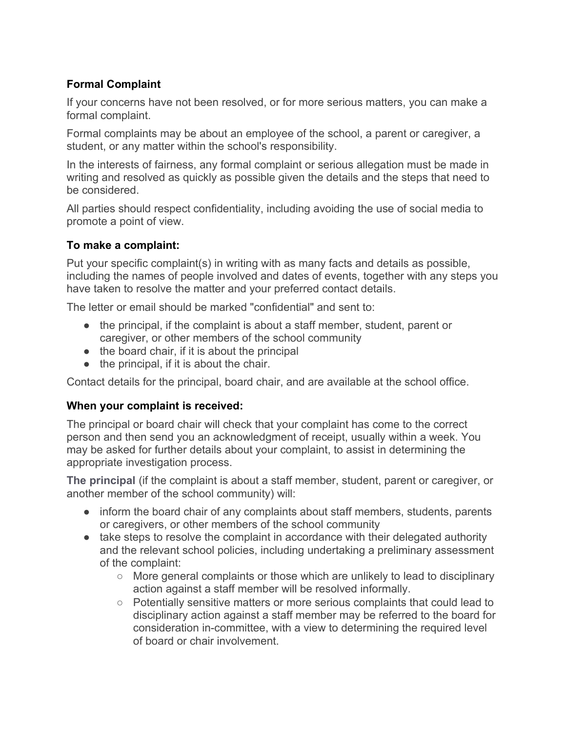# **Formal Complaint**

If your concerns have not been resolved, or for more serious matters, you can make a formal complaint.

Formal complaints may be about an employee of the school, a parent or caregiver, a student, or any matter within the school's responsibility.

In the interests of fairness, any formal complaint or serious allegation must be made in writing and resolved as quickly as possible given the details and the steps that need to be considered.

All parties should respect confidentiality, including avoiding the use of social media to promote a point of view.

## **To make a complaint:**

Put your specific complaint(s) in writing with as many facts and details as possible, including the names of people involved and dates of events, together with any steps you have taken to resolve the matter and your preferred contact details.

The letter or email should be marked "confidential" and sent to:

- the principal, if the complaint is about a staff member, student, parent or caregiver, or other members of the school community
- the board chair, if it is about the principal
- the principal, if it is about the chair.

Contact details for the principal, board chair, and are available at the school office.

## **When your complaint is received:**

The principal or board chair will check that your complaint has come to the correct person and then send you an acknowledgment of receipt, usually within a week. You may be asked for further details about your complaint, to assist in determining the appropriate investigation process.

**The principal** (if the complaint is about a staff member, student, parent or caregiver, or another member of the school community) will:

- inform the board chair of any complaints about staff members, students, parents or caregivers, or other members of the school community
- take steps to resolve the complaint in accordance with their delegated authority and the relevant school policies, including undertaking a preliminary assessment of the complaint:
	- $\circ$  More general complaints or those which are unlikely to lead to disciplinary action against a staff member will be resolved informally.
	- Potentially sensitive matters or more serious complaints that could lead to disciplinary action against a staff member may be referred to the board for consideration in-committee, with a view to determining the required level of board or chair involvement.